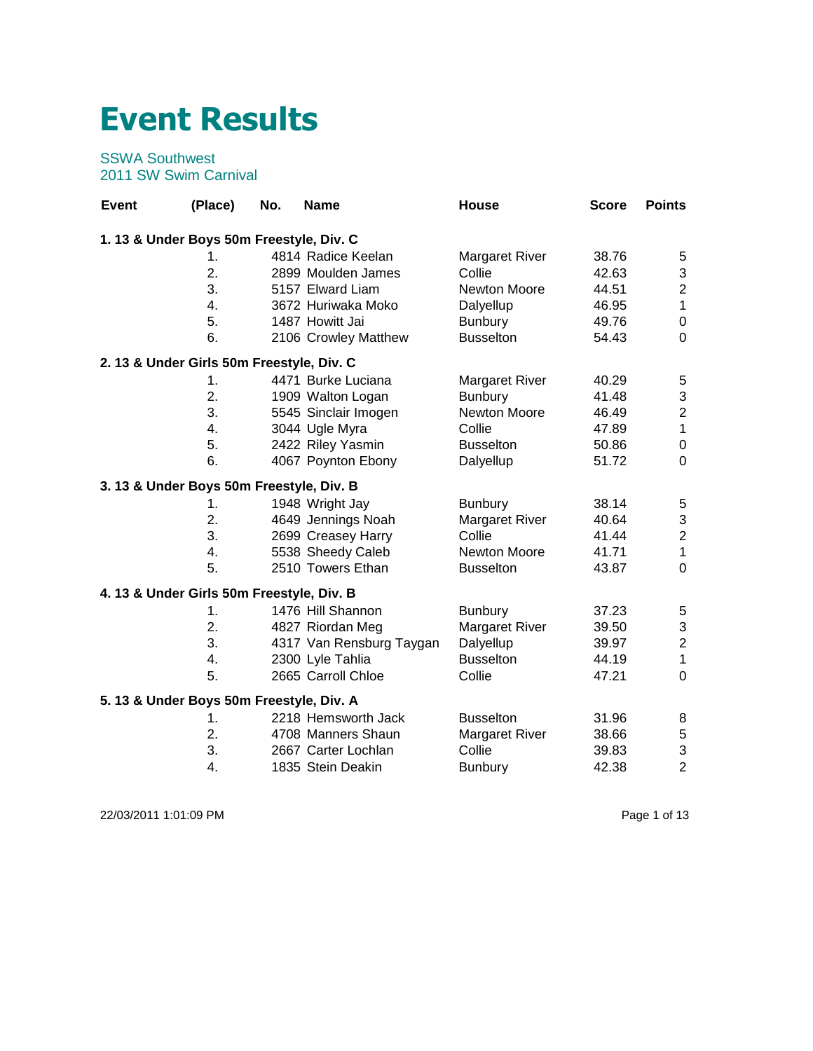## **Event Results**

## SSWA Southwest 2011 SW Swim Carnival

| <b>Event</b>                              | (Place)       | No. | <b>Name</b>              | House                 | <b>Score</b> | <b>Points</b>           |
|-------------------------------------------|---------------|-----|--------------------------|-----------------------|--------------|-------------------------|
| 1. 13 & Under Boys 50m Freestyle, Div. C  |               |     |                          |                       |              |                         |
|                                           | 1.            |     | 4814 Radice Keelan       | <b>Margaret River</b> | 38.76        | $\mathbf 5$             |
|                                           | 2.            |     | 2899 Moulden James       | Collie                | 42.63        | 3                       |
|                                           | 3.            |     | 5157 Elward Liam         | <b>Newton Moore</b>   | 44.51        | $\overline{c}$          |
|                                           | 4.            |     | 3672 Huriwaka Moko       | Dalyellup             | 46.95        | $\mathbf{1}$            |
|                                           | 5.            |     | 1487 Howitt Jai          | <b>Bunbury</b>        | 49.76        | $\mathbf 0$             |
|                                           | 6.            |     | 2106 Crowley Matthew     | <b>Busselton</b>      | 54.43        | $\mathbf 0$             |
| 2. 13 & Under Girls 50m Freestyle, Div. C |               |     |                          |                       |              |                         |
|                                           | 1.            |     | 4471 Burke Luciana       | <b>Margaret River</b> | 40.29        | 5                       |
|                                           | 2.            |     | 1909 Walton Logan        | <b>Bunbury</b>        | 41.48        | 3                       |
|                                           | 3.            |     | 5545 Sinclair Imogen     | Newton Moore          | 46.49        | $\overline{\mathbf{c}}$ |
|                                           | 4.            |     | 3044 Ugle Myra           | Collie                | 47.89        | $\mathbf 1$             |
|                                           | 5.            |     | 2422 Riley Yasmin        | <b>Busselton</b>      | 50.86        | $\boldsymbol{0}$        |
|                                           | 6.            |     | 4067 Poynton Ebony       | Dalyellup             | 51.72        | $\mathbf 0$             |
| 3. 13 & Under Boys 50m Freestyle, Div. B  |               |     |                          |                       |              |                         |
|                                           | 1.            |     | 1948 Wright Jay          | <b>Bunbury</b>        | 38.14        | $\mathbf 5$             |
|                                           | 2.            |     | 4649 Jennings Noah       | <b>Margaret River</b> | 40.64        | $\mathsf 3$             |
|                                           | 3.            |     | 2699 Creasey Harry       | Collie                | 41.44        | $\overline{\mathbf{c}}$ |
|                                           | 4.            |     | 5538 Sheedy Caleb        | Newton Moore          | 41.71        | $\mathbf 1$             |
|                                           | 5.            |     | 2510 Towers Ethan        | <b>Busselton</b>      | 43.87        | $\mathbf 0$             |
| 4. 13 & Under Girls 50m Freestyle, Div. B |               |     |                          |                       |              |                         |
|                                           | 1.            |     | 1476 Hill Shannon        | <b>Bunbury</b>        | 37.23        | 5                       |
|                                           | 2.            |     | 4827 Riordan Meg         | <b>Margaret River</b> | 39.50        | $\mathbf{3}$            |
|                                           | 3.            |     | 4317 Van Rensburg Taygan | Dalyellup             | 39.97        | $\overline{c}$          |
|                                           | 4.            |     | 2300 Lyle Tahlia         | <b>Busselton</b>      | 44.19        | $\mathbf{1}$            |
|                                           | 5.            |     | 2665 Carroll Chloe       | Collie                | 47.21        | $\mathbf 0$             |
| 5. 13 & Under Boys 50m Freestyle, Div. A  |               |     |                          |                       |              |                         |
|                                           | $\mathbf 1$ . |     | 2218 Hemsworth Jack      | <b>Busselton</b>      | 31.96        | 8                       |
|                                           | 2.            |     | 4708 Manners Shaun       | <b>Margaret River</b> | 38.66        | $\mathbf 5$             |
|                                           | 3.            |     | 2667 Carter Lochlan      | Collie                | 39.83        | 3                       |
|                                           | 4.            |     | 1835 Stein Deakin        | <b>Bunbury</b>        | 42.38        | $\overline{2}$          |

22/03/2011 1:01:09 PM Page 1 of 13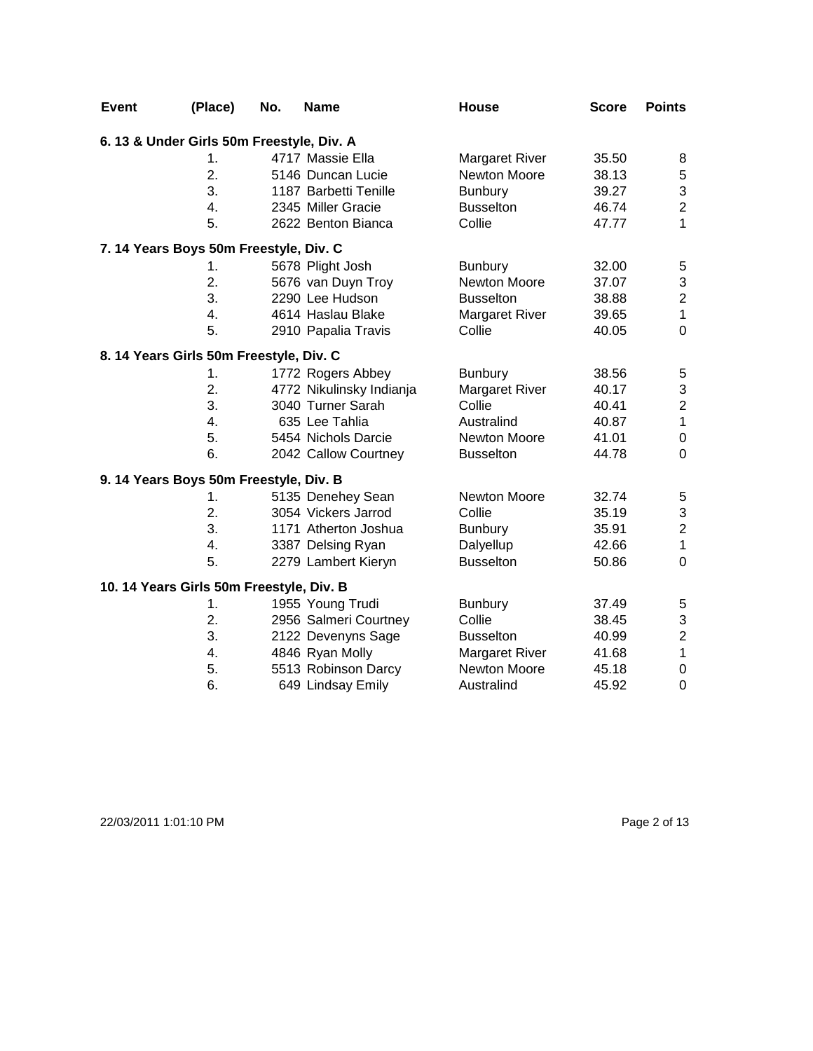| <b>Event</b> | (Place)                                   | No. | <b>Name</b>              | House                 | <b>Score</b> | <b>Points</b>    |
|--------------|-------------------------------------------|-----|--------------------------|-----------------------|--------------|------------------|
|              | 6. 13 & Under Girls 50m Freestyle, Div. A |     |                          |                       |              |                  |
|              | 1.                                        |     | 4717 Massie Ella         | <b>Margaret River</b> | 35.50        | 8                |
|              | 2.                                        |     | 5146 Duncan Lucie        | Newton Moore          | 38.13        | 5                |
|              | 3.                                        |     | 1187 Barbetti Tenille    | <b>Bunbury</b>        | 39.27        | 3                |
|              | 4.                                        |     | 2345 Miller Gracie       | <b>Busselton</b>      | 46.74        | $\overline{c}$   |
|              | 5.                                        |     | 2622 Benton Bianca       | Collie                | 47.77        | 1                |
|              | 7. 14 Years Boys 50m Freestyle, Div. C    |     |                          |                       |              |                  |
|              | 1.                                        |     | 5678 Plight Josh         | <b>Bunbury</b>        | 32.00        | 5                |
|              | 2.                                        |     | 5676 van Duyn Troy       | Newton Moore          | 37.07        | 3                |
|              | 3.                                        |     | 2290 Lee Hudson          | <b>Busselton</b>      | 38.88        | $\overline{c}$   |
|              | 4.                                        |     | 4614 Haslau Blake        | <b>Margaret River</b> | 39.65        | $\mathbf{1}$     |
|              | 5.                                        |     | 2910 Papalia Travis      | Collie                | 40.05        | $\mathbf 0$      |
|              | 8. 14 Years Girls 50m Freestyle, Div. C   |     |                          |                       |              |                  |
|              | 1.                                        |     | 1772 Rogers Abbey        | <b>Bunbury</b>        | 38.56        | 5                |
|              | 2.                                        |     | 4772 Nikulinsky Indianja | <b>Margaret River</b> | 40.17        | 3                |
|              | 3.                                        |     | 3040 Turner Sarah        | Collie                | 40.41        | $\mathbf 2$      |
|              | 4.                                        |     | 635 Lee Tahlia           | Australind            | 40.87        | $\mathbf{1}$     |
|              | 5.                                        |     | 5454 Nichols Darcie      | Newton Moore          | 41.01        | $\pmb{0}$        |
|              | 6.                                        |     | 2042 Callow Courtney     | <b>Busselton</b>      | 44.78        | 0                |
|              | 9. 14 Years Boys 50m Freestyle, Div. B    |     |                          |                       |              |                  |
|              | 1.                                        |     | 5135 Denehey Sean        | Newton Moore          | 32.74        | 5                |
|              | 2.                                        |     | 3054 Vickers Jarrod      | Collie                | 35.19        | 3                |
|              | 3.                                        |     | 1171 Atherton Joshua     | <b>Bunbury</b>        | 35.91        | $\overline{2}$   |
|              | 4.                                        |     | 3387 Delsing Ryan        | Dalyellup             | 42.66        | $\mathbf{1}$     |
|              | 5.                                        |     | 2279 Lambert Kieryn      | <b>Busselton</b>      | 50.86        | $\mathbf 0$      |
|              | 10. 14 Years Girls 50m Freestyle, Div. B  |     |                          |                       |              |                  |
|              | 1.                                        |     | 1955 Young Trudi         | <b>Bunbury</b>        | 37.49        | 5                |
|              | 2.                                        |     | 2956 Salmeri Courtney    | Collie                | 38.45        | 3                |
|              | 3.                                        |     | 2122 Devenyns Sage       | <b>Busselton</b>      | 40.99        | $\boldsymbol{2}$ |
|              | 4.                                        |     | 4846 Ryan Molly          | <b>Margaret River</b> | 41.68        | $\mathbf 1$      |
|              | 5.                                        |     | 5513 Robinson Darcy      | Newton Moore          | 45.18        | $\pmb{0}$        |
|              | 6.                                        |     | 649 Lindsay Emily        | Australind            | 45.92        | $\mathbf 0$      |

22/03/2011 1:01:10 PM Page 2 of 13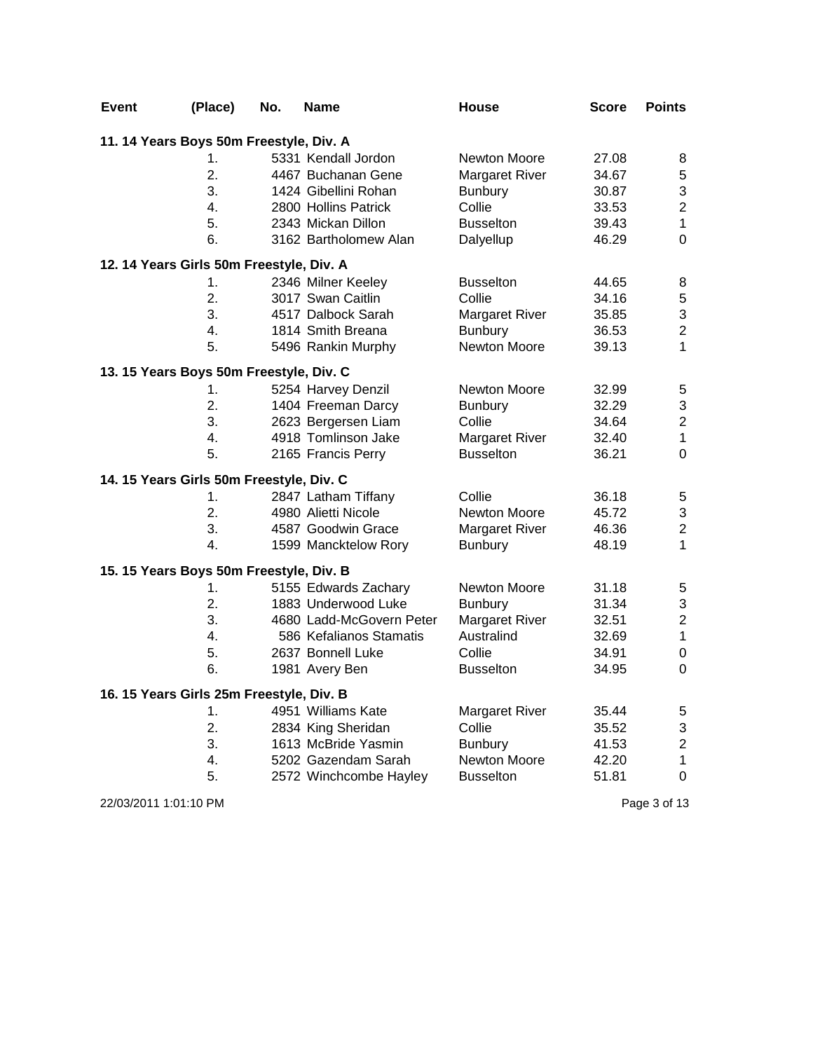| Event                                    | (Place)          | No. | <b>Name</b>              | <b>House</b>          | Score | <b>Points</b>           |
|------------------------------------------|------------------|-----|--------------------------|-----------------------|-------|-------------------------|
| 11. 14 Years Boys 50m Freestyle, Div. A  |                  |     |                          |                       |       |                         |
|                                          | 1.               |     | 5331 Kendall Jordon      | Newton Moore          | 27.08 | 8                       |
|                                          | $\overline{2}$ . |     | 4467 Buchanan Gene       | <b>Margaret River</b> | 34.67 | 5                       |
|                                          | 3.               |     | 1424 Gibellini Rohan     | <b>Bunbury</b>        | 30.87 | 3                       |
|                                          | 4.               |     | 2800 Hollins Patrick     | Collie                | 33.53 | $\overline{2}$          |
|                                          | 5.               |     | 2343 Mickan Dillon       | <b>Busselton</b>      | 39.43 | $\mathbf{1}$            |
|                                          | 6.               |     | 3162 Bartholomew Alan    | Dalyellup             | 46.29 | $\mathbf 0$             |
| 12. 14 Years Girls 50m Freestyle, Div. A |                  |     |                          |                       |       |                         |
|                                          | 1.               |     | 2346 Milner Keeley       | <b>Busselton</b>      | 44.65 | 8                       |
|                                          | 2.               |     | 3017 Swan Caitlin        | Collie                | 34.16 | 5                       |
|                                          | 3.               |     | 4517 Dalbock Sarah       | <b>Margaret River</b> | 35.85 | 3                       |
|                                          | 4.               |     | 1814 Smith Breana        | <b>Bunbury</b>        | 36.53 | $\overline{\mathbf{c}}$ |
|                                          | 5.               |     | 5496 Rankin Murphy       | Newton Moore          | 39.13 | $\mathbf{1}$            |
| 13. 15 Years Boys 50m Freestyle, Div. C  |                  |     |                          |                       |       |                         |
|                                          | 1.               |     | 5254 Harvey Denzil       | Newton Moore          | 32.99 | 5                       |
|                                          | 2.               |     | 1404 Freeman Darcy       | <b>Bunbury</b>        | 32.29 | 3                       |
|                                          | 3.               |     | 2623 Bergersen Liam      | Collie                | 34.64 | $\overline{c}$          |
|                                          | 4.               |     | 4918 Tomlinson Jake      | <b>Margaret River</b> | 32.40 | $\mathbf{1}$            |
|                                          | 5.               |     | 2165 Francis Perry       | <b>Busselton</b>      | 36.21 | 0                       |
| 14. 15 Years Girls 50m Freestyle, Div. C |                  |     |                          |                       |       |                         |
|                                          | 1.               |     | 2847 Latham Tiffany      | Collie                | 36.18 | 5                       |
|                                          | 2.               |     | 4980 Alietti Nicole      | Newton Moore          | 45.72 | 3                       |
|                                          | 3.               |     | 4587 Goodwin Grace       | <b>Margaret River</b> | 46.36 | $\overline{2}$          |
|                                          | 4.               |     | 1599 Mancktelow Rory     | <b>Bunbury</b>        | 48.19 | $\mathbf{1}$            |
| 15. 15 Years Boys 50m Freestyle, Div. B  |                  |     |                          |                       |       |                         |
|                                          | 1.               |     | 5155 Edwards Zachary     | Newton Moore          | 31.18 | 5                       |
|                                          | 2.               |     | 1883 Underwood Luke      | <b>Bunbury</b>        | 31.34 | 3                       |
|                                          | 3.               |     | 4680 Ladd-McGovern Peter | <b>Margaret River</b> | 32.51 | $\overline{c}$          |
|                                          | 4.               |     | 586 Kefalianos Stamatis  | Australind            | 32.69 | $\mathbf{1}$            |
|                                          | 5.               |     | 2637 Bonnell Luke        | Collie                | 34.91 | $\boldsymbol{0}$        |
|                                          | 6.               |     | 1981 Avery Ben           | <b>Busselton</b>      | 34.95 | $\mathbf 0$             |
| 16. 15 Years Girls 25m Freestyle, Div. B |                  |     |                          |                       |       |                         |
|                                          | 1.               |     | 4951 Williams Kate       | <b>Margaret River</b> | 35.44 | 5                       |
|                                          | 2.               |     | 2834 King Sheridan       | Collie                | 35.52 | 3                       |
|                                          | 3.               |     | 1613 McBride Yasmin      | <b>Bunbury</b>        | 41.53 | $\overline{\mathbf{c}}$ |
|                                          | 4.               |     | 5202 Gazendam Sarah      | Newton Moore          | 42.20 | $\mathbf 1$             |
|                                          | 5.               |     | 2572 Winchcombe Hayley   | <b>Busselton</b>      | 51.81 | 0                       |

22/03/2011 1:01:10 PM Page 3 of 13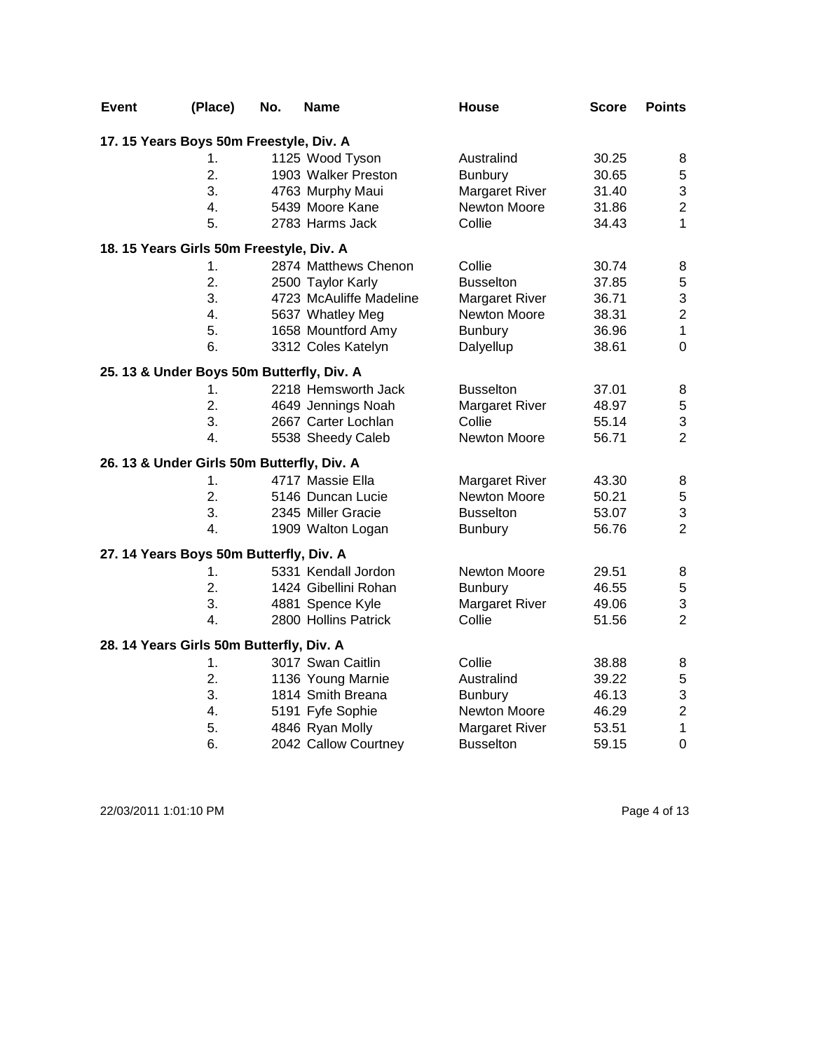| <b>Event</b> | (Place)                                    | No. | <b>Name</b>             | <b>House</b>          | <b>Score</b> | <b>Points</b>  |
|--------------|--------------------------------------------|-----|-------------------------|-----------------------|--------------|----------------|
|              | 17. 15 Years Boys 50m Freestyle, Div. A    |     |                         |                       |              |                |
|              | 1.                                         |     | 1125 Wood Tyson         | Australind            | 30.25        | 8              |
|              | 2.                                         |     | 1903 Walker Preston     | <b>Bunbury</b>        | 30.65        | 5              |
|              | 3.                                         |     | 4763 Murphy Maui        | Margaret River        | 31.40        | 3              |
|              | 4.                                         |     | 5439 Moore Kane         | Newton Moore          | 31.86        | $\overline{c}$ |
|              | 5.                                         |     | 2783 Harms Jack         | Collie                | 34.43        | $\mathbf{1}$   |
|              | 18. 15 Years Girls 50m Freestyle, Div. A   |     |                         |                       |              |                |
|              | 1.                                         |     | 2874 Matthews Chenon    | Collie                | 30.74        | 8              |
|              | 2.                                         |     | 2500 Taylor Karly       | <b>Busselton</b>      | 37.85        | 5              |
|              | 3.                                         |     | 4723 McAuliffe Madeline | Margaret River        | 36.71        | 3              |
|              | 4.                                         |     | 5637 Whatley Meg        | Newton Moore          | 38.31        | $\overline{c}$ |
|              | 5.                                         |     | 1658 Mountford Amy      | <b>Bunbury</b>        | 36.96        | $\mathbf 1$    |
|              | 6.                                         |     | 3312 Coles Katelyn      | Dalyellup             | 38.61        | $\overline{0}$ |
|              | 25. 13 & Under Boys 50m Butterfly, Div. A  |     |                         |                       |              |                |
|              | 1.                                         |     | 2218 Hemsworth Jack     | <b>Busselton</b>      | 37.01        | 8              |
|              | 2.                                         |     | 4649 Jennings Noah      | <b>Margaret River</b> | 48.97        | 5              |
|              | 3.                                         |     | 2667 Carter Lochlan     | Collie                | 55.14        | 3              |
|              | 4.                                         |     | 5538 Sheedy Caleb       | <b>Newton Moore</b>   | 56.71        | $\overline{2}$ |
|              | 26. 13 & Under Girls 50m Butterfly, Div. A |     |                         |                       |              |                |
|              | 1.                                         |     | 4717 Massie Ella        | Margaret River        | 43.30        | 8              |
|              | 2.                                         |     | 5146 Duncan Lucie       | Newton Moore          | 50.21        | 5              |
|              | 3.                                         |     | 2345 Miller Gracie      | <b>Busselton</b>      | 53.07        | 3              |
|              | 4.                                         |     | 1909 Walton Logan       | <b>Bunbury</b>        | 56.76        | $\overline{2}$ |
|              | 27. 14 Years Boys 50m Butterfly, Div. A    |     |                         |                       |              |                |
|              | 1.                                         |     | 5331 Kendall Jordon     | Newton Moore          | 29.51        | 8              |
|              | 2.                                         |     | 1424 Gibellini Rohan    | Bunbury               | 46.55        | 5              |
|              | 3.                                         |     | 4881 Spence Kyle        | <b>Margaret River</b> | 49.06        | 3              |
|              | 4.                                         |     | 2800 Hollins Patrick    | Collie                | 51.56        | $\overline{2}$ |
|              | 28. 14 Years Girls 50m Butterfly, Div. A   |     |                         |                       |              |                |
|              | 1.                                         |     | 3017 Swan Caitlin       | Collie                | 38.88        | 8              |
|              | 2.                                         |     | 1136 Young Marnie       | Australind            | 39.22        | 5              |
|              | 3.                                         |     | 1814 Smith Breana       | <b>Bunbury</b>        | 46.13        | 3              |
|              | 4.                                         |     | 5191 Fyfe Sophie        | Newton Moore          | 46.29        | $\overline{c}$ |
|              | 5.                                         |     | 4846 Ryan Molly         | <b>Margaret River</b> | 53.51        | $\mathbf{1}$   |
|              | 6.                                         |     | 2042 Callow Courtney    | <b>Busselton</b>      | 59.15        | $\mathbf 0$    |

22/03/2011 1:01:10 PM Page 4 of 13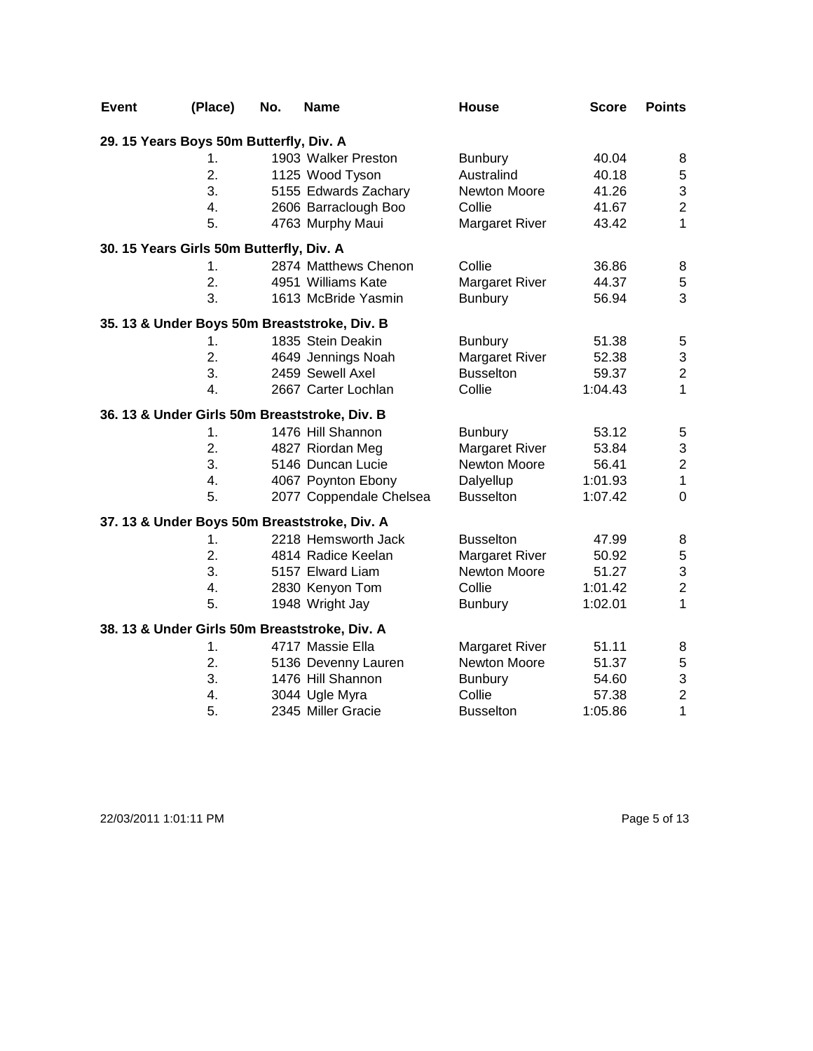| <b>Event</b> | (Place)                                  | No. | <b>Name</b>                                   | <b>House</b>          | <b>Score</b> | <b>Points</b>             |
|--------------|------------------------------------------|-----|-----------------------------------------------|-----------------------|--------------|---------------------------|
|              | 29. 15 Years Boys 50m Butterfly, Div. A  |     |                                               |                       |              |                           |
|              | 1.                                       |     | 1903 Walker Preston                           | <b>Bunbury</b>        | 40.04        | 8                         |
|              | $\overline{2}$ .                         |     | 1125 Wood Tyson                               | Australind            | 40.18        | 5                         |
|              | 3.                                       |     | 5155 Edwards Zachary                          | Newton Moore          | 41.26        | 3                         |
|              | 4.                                       |     | 2606 Barraclough Boo                          | Collie                | 41.67        | $\overline{2}$            |
|              | 5.                                       |     | 4763 Murphy Maui                              | <b>Margaret River</b> | 43.42        | $\mathbf{1}$              |
|              | 30. 15 Years Girls 50m Butterfly, Div. A |     |                                               |                       |              |                           |
|              | 1.                                       |     | 2874 Matthews Chenon                          | Collie                | 36.86        | 8                         |
|              | 2.                                       |     | 4951 Williams Kate                            | Margaret River        | 44.37        | 5                         |
|              | 3.                                       |     | 1613 McBride Yasmin                           | <b>Bunbury</b>        | 56.94        | 3                         |
|              |                                          |     | 35. 13 & Under Boys 50m Breaststroke, Div. B  |                       |              |                           |
|              | 1.                                       |     | 1835 Stein Deakin                             | <b>Bunbury</b>        | 51.38        | $\mathbf 5$               |
|              | 2.                                       |     | 4649 Jennings Noah                            | <b>Margaret River</b> | 52.38        | $\ensuremath{\mathsf{3}}$ |
|              | 3.                                       |     | 2459 Sewell Axel                              | <b>Busselton</b>      | 59.37        | $\boldsymbol{2}$          |
|              | 4.                                       |     | 2667 Carter Lochlan                           | Collie                | 1:04.43      | $\mathbf{1}$              |
|              |                                          |     | 36. 13 & Under Girls 50m Breaststroke, Div. B |                       |              |                           |
|              | 1.                                       |     | 1476 Hill Shannon                             | <b>Bunbury</b>        | 53.12        | $\mathbf 5$               |
|              | 2.                                       |     | 4827 Riordan Meg                              | <b>Margaret River</b> | 53.84        | $\ensuremath{\mathsf{3}}$ |
|              | 3.                                       |     | 5146 Duncan Lucie                             | Newton Moore          | 56.41        | $\mathbf 2$               |
|              | 4.                                       |     | 4067 Poynton Ebony                            | Dalyellup             | 1:01.93      | $\mathbf{1}$              |
|              | 5.                                       |     | 2077 Coppendale Chelsea                       | <b>Busselton</b>      | 1:07.42      | $\mathbf 0$               |
|              |                                          |     | 37. 13 & Under Boys 50m Breaststroke, Div. A  |                       |              |                           |
|              | 1.                                       |     | 2218 Hemsworth Jack                           | <b>Busselton</b>      | 47.99        | 8                         |
|              | 2.                                       |     | 4814 Radice Keelan                            | <b>Margaret River</b> | 50.92        | $\mathbf 5$               |
|              | 3.                                       |     | 5157 Elward Liam                              | Newton Moore          | 51.27        | 3                         |
|              | $\overline{4}$ .                         |     | 2830 Kenyon Tom                               | Collie                | 1:01.42      | $\mathbf 2$               |
|              | 5.                                       |     | 1948 Wright Jay                               | <b>Bunbury</b>        | 1:02.01      | $\mathbf{1}$              |
|              |                                          |     | 38. 13 & Under Girls 50m Breaststroke, Div. A |                       |              |                           |
|              | 1.                                       |     | 4717 Massie Ella                              | <b>Margaret River</b> | 51.11        | 8                         |
|              | 2.                                       |     | 5136 Devenny Lauren                           | Newton Moore          | 51.37        | 5                         |
|              | 3.                                       |     | 1476 Hill Shannon                             | <b>Bunbury</b>        | 54.60        | 3                         |
|              | 4.                                       |     | 3044 Ugle Myra                                | Collie                | 57.38        | $\mathbf 2$               |
|              | 5.                                       |     | 2345 Miller Gracie                            | <b>Busselton</b>      | 1:05.86      | $\mathbf 1$               |

22/03/2011 1:01:11 PM Page 5 of 13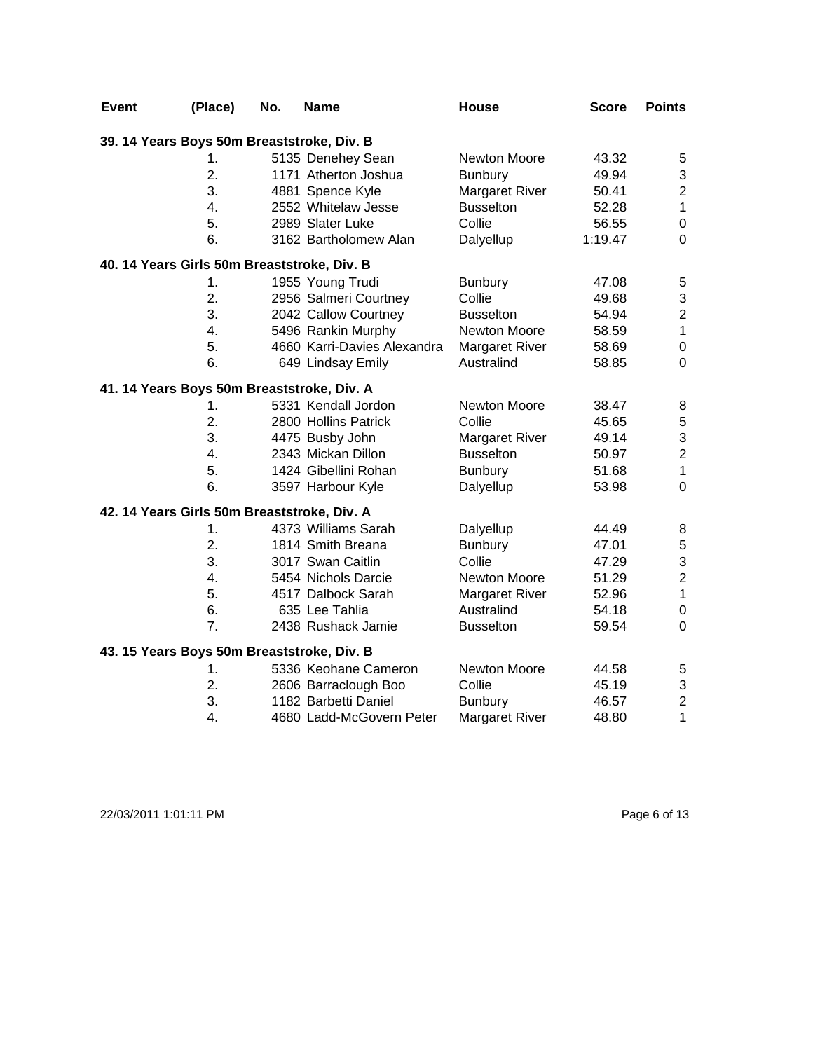| <b>Event</b>                                | (Place)          | No. | <b>Name</b>                 | House                 | <b>Score</b> | <b>Points</b>           |
|---------------------------------------------|------------------|-----|-----------------------------|-----------------------|--------------|-------------------------|
| 39. 14 Years Boys 50m Breaststroke, Div. B  |                  |     |                             |                       |              |                         |
|                                             | 1.               |     | 5135 Denehey Sean           | <b>Newton Moore</b>   | 43.32        | 5                       |
|                                             | 2.               |     | 1171 Atherton Joshua        | <b>Bunbury</b>        | 49.94        | 3                       |
|                                             | 3.               |     | 4881 Spence Kyle            | <b>Margaret River</b> | 50.41        | $\overline{c}$          |
|                                             | $\overline{4}$ . |     | 2552 Whitelaw Jesse         | <b>Busselton</b>      | 52.28        | $\mathbf{1}$            |
|                                             | 5.               |     | 2989 Slater Luke            | Collie                | 56.55        | $\pmb{0}$               |
|                                             | 6.               |     | 3162 Bartholomew Alan       | Dalyellup             | 1:19.47      | 0                       |
| 40. 14 Years Girls 50m Breaststroke, Div. B |                  |     |                             |                       |              |                         |
|                                             | 1.               |     | 1955 Young Trudi            | <b>Bunbury</b>        | 47.08        | 5                       |
|                                             | 2.               |     | 2956 Salmeri Courtney       | Collie                | 49.68        | 3                       |
|                                             | 3.               |     | 2042 Callow Courtney        | <b>Busselton</b>      | 54.94        | $\overline{\mathbf{c}}$ |
|                                             | 4.               |     | 5496 Rankin Murphy          | <b>Newton Moore</b>   | 58.59        | $\mathbf 1$             |
|                                             | 5.               |     | 4660 Karri-Davies Alexandra | <b>Margaret River</b> | 58.69        | $\boldsymbol{0}$        |
|                                             | 6.               |     | 649 Lindsay Emily           | Australind            | 58.85        | $\mathbf 0$             |
| 41. 14 Years Boys 50m Breaststroke, Div. A  |                  |     |                             |                       |              |                         |
|                                             | 1.               |     | 5331 Kendall Jordon         | Newton Moore          | 38.47        | 8                       |
|                                             | 2.               |     | 2800 Hollins Patrick        | Collie                | 45.65        | 5                       |
|                                             | 3.               |     | 4475 Busby John             | <b>Margaret River</b> | 49.14        | 3                       |
|                                             | 4.               |     | 2343 Mickan Dillon          | <b>Busselton</b>      | 50.97        | $\overline{c}$          |
|                                             | 5.               |     | 1424 Gibellini Rohan        | <b>Bunbury</b>        | 51.68        | $\mathbf{1}$            |
|                                             | 6.               |     | 3597 Harbour Kyle           | Dalyellup             | 53.98        | $\mathbf 0$             |
| 42. 14 Years Girls 50m Breaststroke, Div. A |                  |     |                             |                       |              |                         |
|                                             | 1.               |     | 4373 Williams Sarah         | Dalyellup             | 44.49        | 8                       |
|                                             | 2.               |     | 1814 Smith Breana           | <b>Bunbury</b>        | 47.01        | $\mathbf 5$             |
|                                             | 3.               |     | 3017 Swan Caitlin           | Collie                | 47.29        | 3                       |
|                                             | 4.               |     | 5454 Nichols Darcie         | Newton Moore          | 51.29        | $\overline{2}$          |
|                                             | 5.               |     | 4517 Dalbock Sarah          | <b>Margaret River</b> | 52.96        | $\mathbf{1}$            |
|                                             | 6.               |     | 635 Lee Tahlia              | Australind            | 54.18        | $\pmb{0}$               |
|                                             | 7.               |     | 2438 Rushack Jamie          | <b>Busselton</b>      | 59.54        | $\mathbf 0$             |
| 43. 15 Years Boys 50m Breaststroke, Div. B  |                  |     |                             |                       |              |                         |
|                                             | 1.               |     | 5336 Keohane Cameron        | Newton Moore          | 44.58        | $\mathbf 5$             |
|                                             | 2.               |     | 2606 Barraclough Boo        | Collie                | 45.19        | 3                       |
|                                             | 3.               |     | 1182 Barbetti Daniel        | <b>Bunbury</b>        | 46.57        | $\mathbf 2$             |
|                                             | 4.               |     | 4680 Ladd-McGovern Peter    | <b>Margaret River</b> | 48.80        | $\mathbf 1$             |

22/03/2011 1:01:11 PM Page 6 of 13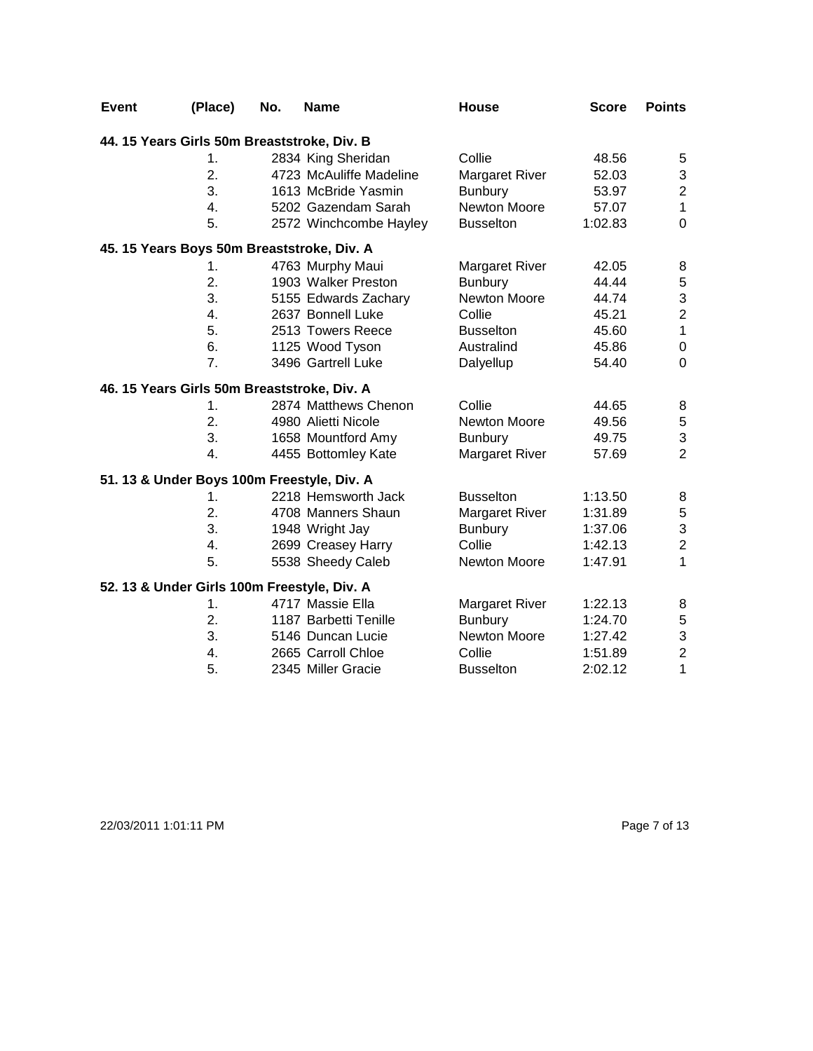| <b>Event</b> | (Place)                                     | No. | <b>Name</b>             | House                 | <b>Score</b> | <b>Points</b>    |
|--------------|---------------------------------------------|-----|-------------------------|-----------------------|--------------|------------------|
|              | 44. 15 Years Girls 50m Breaststroke, Div. B |     |                         |                       |              |                  |
|              | 1.                                          |     | 2834 King Sheridan      | Collie                | 48.56        | 5                |
|              | 2.                                          |     | 4723 McAuliffe Madeline | Margaret River        | 52.03        | 3                |
|              | 3.                                          |     | 1613 McBride Yasmin     | <b>Bunbury</b>        | 53.97        | $\overline{2}$   |
|              | $\overline{4}$ .                            |     | 5202 Gazendam Sarah     | <b>Newton Moore</b>   | 57.07        | $\mathbf{1}$     |
|              | 5.                                          |     | 2572 Winchcombe Hayley  | <b>Busselton</b>      | 1:02.83      | $\overline{0}$   |
|              | 45. 15 Years Boys 50m Breaststroke, Div. A  |     |                         |                       |              |                  |
|              | 1.                                          |     | 4763 Murphy Maui        | Margaret River        | 42.05        | 8                |
|              | 2.                                          |     | 1903 Walker Preston     | <b>Bunbury</b>        | 44.44        | $\,$ 5 $\,$      |
|              | 3.                                          |     | 5155 Edwards Zachary    | Newton Moore          | 44.74        | 3                |
|              | 4.                                          |     | 2637 Bonnell Luke       | Collie                | 45.21        | $\overline{2}$   |
|              | 5.                                          |     | 2513 Towers Reece       | <b>Busselton</b>      | 45.60        | $\mathbf{1}$     |
|              | 6.                                          |     | 1125 Wood Tyson         | Australind            | 45.86        | $\boldsymbol{0}$ |
|              | 7.                                          |     | 3496 Gartrell Luke      | Dalyellup             | 54.40        | $\mathbf 0$      |
|              | 46. 15 Years Girls 50m Breaststroke, Div. A |     |                         |                       |              |                  |
|              | 1.                                          |     | 2874 Matthews Chenon    | Collie                | 44.65        | 8                |
|              | 2.                                          |     | 4980 Alietti Nicole     | <b>Newton Moore</b>   | 49.56        | $\,$ 5 $\,$      |
|              | 3.                                          |     | 1658 Mountford Amy      | <b>Bunbury</b>        | 49.75        | 3                |
|              | $\overline{4}$ .                            |     | 4455 Bottomley Kate     | <b>Margaret River</b> | 57.69        | $\overline{2}$   |
|              | 51. 13 & Under Boys 100m Freestyle, Div. A  |     |                         |                       |              |                  |
|              | 1.                                          |     | 2218 Hemsworth Jack     | <b>Busselton</b>      | 1:13.50      | 8                |
|              | 2.                                          |     | 4708 Manners Shaun      | Margaret River        | 1:31.89      | $\,$ 5 $\,$      |
|              | 3.                                          |     | 1948 Wright Jay         | <b>Bunbury</b>        | 1:37.06      | 3                |
|              | 4.                                          |     | 2699 Creasey Harry      | Collie                | 1:42.13      | $\overline{2}$   |
|              | 5.                                          |     | 5538 Sheedy Caleb       | <b>Newton Moore</b>   | 1:47.91      | $\mathbf{1}$     |
|              | 52. 13 & Under Girls 100m Freestyle, Div. A |     |                         |                       |              |                  |
|              | 1.                                          |     | 4717 Massie Ella        | <b>Margaret River</b> | 1:22.13      | 8                |
|              | 2.                                          |     | 1187 Barbetti Tenille   | <b>Bunbury</b>        | 1:24.70      | $\mathbf 5$      |
|              | 3.                                          |     | 5146 Duncan Lucie       | Newton Moore          | 1:27.42      | 3                |
|              | 4.                                          |     | 2665 Carroll Chloe      | Collie                | 1:51.89      | $\overline{2}$   |
|              | 5.                                          |     | 2345 Miller Gracie      | <b>Busselton</b>      | 2:02.12      | $\mathbf 1$      |

22/03/2011 1:01:11 PM Page 7 of 13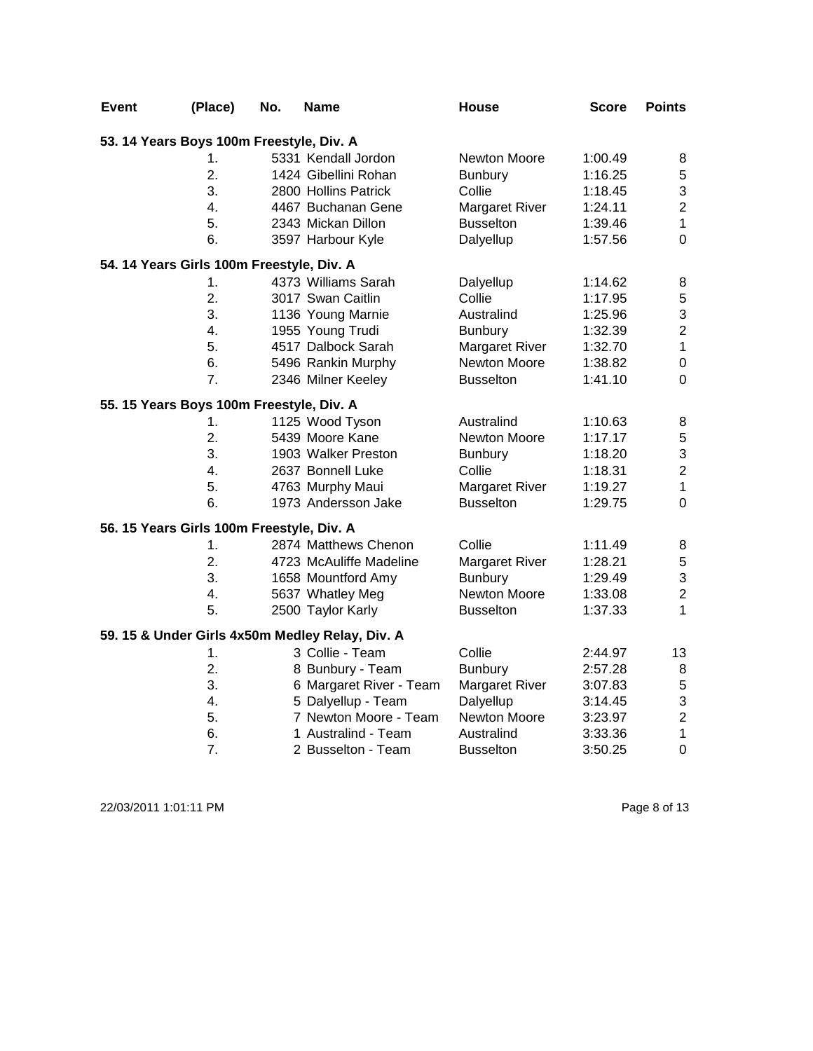| Event | (Place)                                   | No. | <b>Name</b>                                     | <b>House</b>          | <b>Score</b> | <b>Points</b>  |
|-------|-------------------------------------------|-----|-------------------------------------------------|-----------------------|--------------|----------------|
|       | 53. 14 Years Boys 100m Freestyle, Div. A  |     |                                                 |                       |              |                |
|       | 1.                                        |     | 5331 Kendall Jordon                             | Newton Moore          | 1:00.49      | 8              |
|       | $\overline{2}$ .                          |     | 1424 Gibellini Rohan                            | <b>Bunbury</b>        | 1:16.25      | 5              |
|       | 3.                                        |     | 2800 Hollins Patrick                            | Collie                | 1:18.45      | 3              |
|       | 4.                                        |     | 4467 Buchanan Gene                              | <b>Margaret River</b> | 1:24.11      | $\overline{c}$ |
|       | 5.                                        |     | 2343 Mickan Dillon                              | <b>Busselton</b>      | 1:39.46      | $\mathbf{1}$   |
|       | 6.                                        |     | 3597 Harbour Kyle                               | Dalyellup             | 1:57.56      | $\overline{0}$ |
|       | 54. 14 Years Girls 100m Freestyle, Div. A |     |                                                 |                       |              |                |
|       | 1.                                        |     | 4373 Williams Sarah                             | Dalyellup             | 1:14.62      | 8              |
|       | $\overline{2}$ .                          |     | 3017 Swan Caitlin                               | Collie                | 1:17.95      | 5              |
|       | 3.                                        |     | 1136 Young Marnie                               | Australind            | 1:25.96      | 3              |
|       | 4.                                        |     | 1955 Young Trudi                                | <b>Bunbury</b>        | 1:32.39      | $\overline{c}$ |
|       | 5.                                        |     | 4517 Dalbock Sarah                              | <b>Margaret River</b> | 1:32.70      | $\mathbf 1$    |
|       | 6.                                        |     | 5496 Rankin Murphy                              | Newton Moore          | 1:38.82      | $\mathsf 0$    |
|       | 7.                                        |     | 2346 Milner Keeley                              | <b>Busselton</b>      | 1:41.10      | $\overline{0}$ |
|       | 55. 15 Years Boys 100m Freestyle, Div. A  |     |                                                 |                       |              |                |
|       | 1.                                        |     | 1125 Wood Tyson                                 | Australind            | 1:10.63      | 8              |
|       | $\overline{2}$ .                          |     | 5439 Moore Kane                                 | Newton Moore          | 1:17.17      | 5              |
|       | 3.                                        |     | 1903 Walker Preston                             | <b>Bunbury</b>        | 1:18.20      | 3              |
|       | 4.                                        |     | 2637 Bonnell Luke                               | Collie                | 1:18.31      | $\overline{c}$ |
|       | 5.                                        |     | 4763 Murphy Maui                                | <b>Margaret River</b> | 1:19.27      | $\mathbf 1$    |
|       | 6.                                        |     | 1973 Andersson Jake                             | <b>Busselton</b>      | 1:29.75      | $\mathbf 0$    |
|       | 56. 15 Years Girls 100m Freestyle, Div. A |     |                                                 |                       |              |                |
|       | 1.                                        |     | 2874 Matthews Chenon                            | Collie                | 1:11.49      | 8              |
|       | 2.                                        |     | 4723 McAuliffe Madeline                         | <b>Margaret River</b> | 1:28.21      | 5              |
|       | 3.                                        |     | 1658 Mountford Amy                              | Bunbury               | 1:29.49      | 3              |
|       | 4.                                        |     | 5637 Whatley Meg                                | Newton Moore          | 1:33.08      | $\overline{c}$ |
|       | 5.                                        |     | 2500 Taylor Karly                               | <b>Busselton</b>      | 1:37.33      | $\mathbf{1}$   |
|       |                                           |     | 59. 15 & Under Girls 4x50m Medley Relay, Div. A |                       |              |                |
|       | 1.                                        |     | 3 Collie - Team                                 | Collie                | 2:44.97      | 13             |
|       | $\overline{2}$ .                          |     | 8 Bunbury - Team                                | <b>Bunbury</b>        | 2:57.28      | 8              |
|       | 3.                                        |     | 6 Margaret River - Team                         | <b>Margaret River</b> | 3:07.83      | $\mathbf 5$    |
|       | 4.                                        |     | 5 Dalyellup - Team                              | Dalyellup             | 3:14.45      | 3              |
|       | 5.                                        |     | 7 Newton Moore - Team                           | Newton Moore          | 3:23.97      | $\overline{c}$ |
|       | 6.                                        |     | 1 Australind - Team                             | Australind            | 3:33.36      | $\mathbf{1}$   |
|       | 7.                                        |     | 2 Busselton - Team                              | <b>Busselton</b>      | 3:50.25      | $\mathbf 0$    |

22/03/2011 1:01:11 PM Page 8 of 13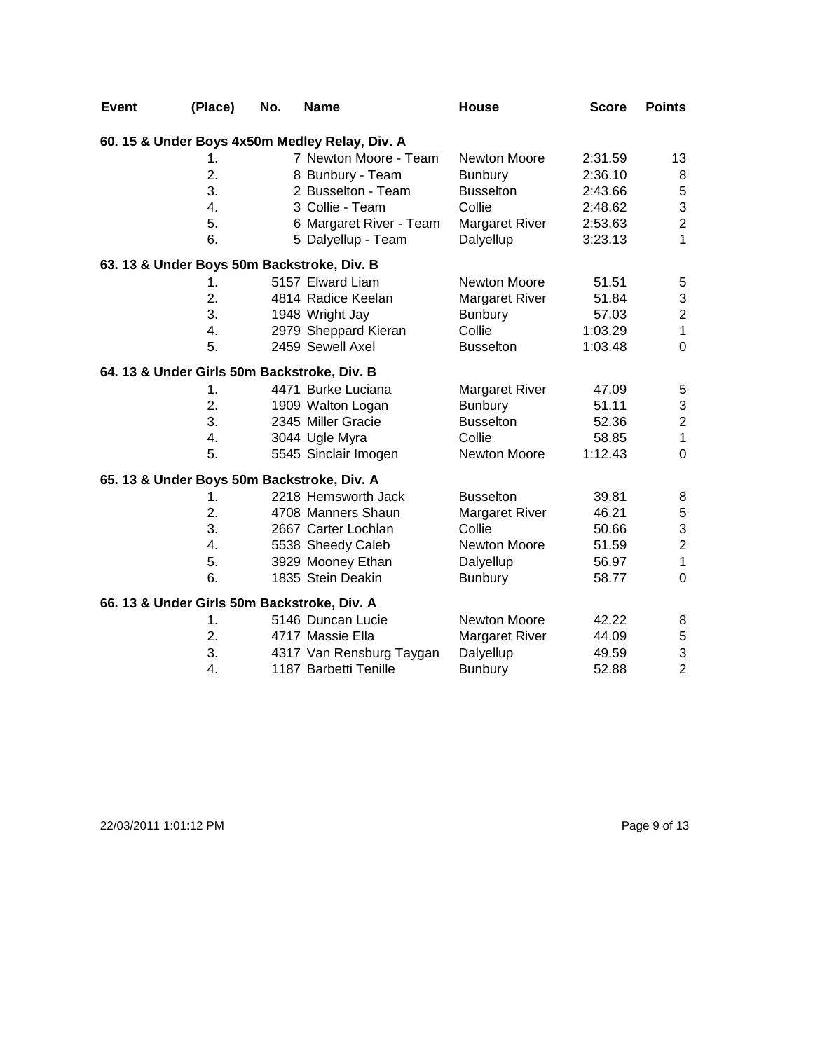| <b>Event</b> | (Place)                                     | No. | <b>Name</b>                                    | <b>House</b>          | <b>Score</b> | <b>Points</b>             |
|--------------|---------------------------------------------|-----|------------------------------------------------|-----------------------|--------------|---------------------------|
|              |                                             |     | 60. 15 & Under Boys 4x50m Medley Relay, Div. A |                       |              |                           |
|              | 1.                                          |     | 7 Newton Moore - Team                          | Newton Moore          | 2:31.59      | 13                        |
|              | 2.                                          |     | 8 Bunbury - Team                               | <b>Bunbury</b>        | 2:36.10      | 8                         |
|              | 3.                                          |     | 2 Busselton - Team                             | <b>Busselton</b>      | 2:43.66      | $\overline{5}$            |
|              | 4.                                          |     | 3 Collie - Team                                | Collie                | 2:48.62      | $\ensuremath{\mathsf{3}}$ |
|              | 5.                                          |     | 6 Margaret River - Team                        | <b>Margaret River</b> | 2:53.63      | $\overline{c}$            |
|              | 6.                                          |     | 5 Dalyellup - Team                             | Dalyellup             | 3:23.13      | $\mathbf{1}$              |
|              |                                             |     | 63. 13 & Under Boys 50m Backstroke, Div. B     |                       |              |                           |
|              | 1.                                          |     | 5157 Elward Liam                               | <b>Newton Moore</b>   | 51.51        | $\mathbf 5$               |
|              | 2.                                          |     | 4814 Radice Keelan                             | <b>Margaret River</b> | 51.84        | $\ensuremath{\mathsf{3}}$ |
|              | 3.                                          |     | 1948 Wright Jay                                | <b>Bunbury</b>        | 57.03        | $\sqrt{2}$                |
|              | 4.                                          |     | 2979 Sheppard Kieran                           | Collie                | 1:03.29      | $\mathbf{1}$              |
|              | 5.                                          |     | 2459 Sewell Axel                               | <b>Busselton</b>      | 1:03.48      | $\mathbf 0$               |
|              | 64. 13 & Under Girls 50m Backstroke, Div. B |     |                                                |                       |              |                           |
|              | 1.                                          |     | 4471 Burke Luciana                             | Margaret River        | 47.09        | 5                         |
|              | 2.                                          |     | 1909 Walton Logan                              | <b>Bunbury</b>        | 51.11        | 3                         |
|              | 3.                                          |     | 2345 Miller Gracie                             | <b>Busselton</b>      | 52.36        | $\mathbf 2$               |
|              | 4.                                          |     | 3044 Ugle Myra                                 | Collie                | 58.85        | $\mathbf{1}$              |
|              | 5.                                          |     | 5545 Sinclair Imogen                           | Newton Moore          | 1:12.43      | $\mathbf 0$               |
|              |                                             |     | 65. 13 & Under Boys 50m Backstroke, Div. A     |                       |              |                           |
|              | 1.                                          |     | 2218 Hemsworth Jack                            | <b>Busselton</b>      | 39.81        | 8                         |
|              | 2.                                          |     | 4708 Manners Shaun                             | <b>Margaret River</b> | 46.21        | 5                         |
|              | 3.                                          |     | 2667 Carter Lochlan                            | Collie                | 50.66        | $\ensuremath{\mathsf{3}}$ |
|              | 4.                                          |     | 5538 Sheedy Caleb                              | Newton Moore          | 51.59        | $\overline{c}$            |
|              | 5.                                          |     | 3929 Mooney Ethan                              | Dalyellup             | 56.97        | $\mathbf{1}$              |
|              | 6.                                          |     | 1835 Stein Deakin                              | <b>Bunbury</b>        | 58.77        | $\mathbf 0$               |
|              | 66. 13 & Under Girls 50m Backstroke, Div. A |     |                                                |                       |              |                           |
|              | 1.                                          |     | 5146 Duncan Lucie                              | Newton Moore          | 42.22        | 8                         |
|              | 2.                                          |     | 4717 Massie Ella                               | <b>Margaret River</b> | 44.09        | $\mathbf 5$               |
|              | 3.                                          |     | 4317 Van Rensburg Taygan                       | Dalyellup             | 49.59        | 3                         |
|              | 4.                                          |     | 1187 Barbetti Tenille                          | <b>Bunbury</b>        | 52.88        | $\overline{2}$            |

22/03/2011 1:01:12 PM Page 9 of 13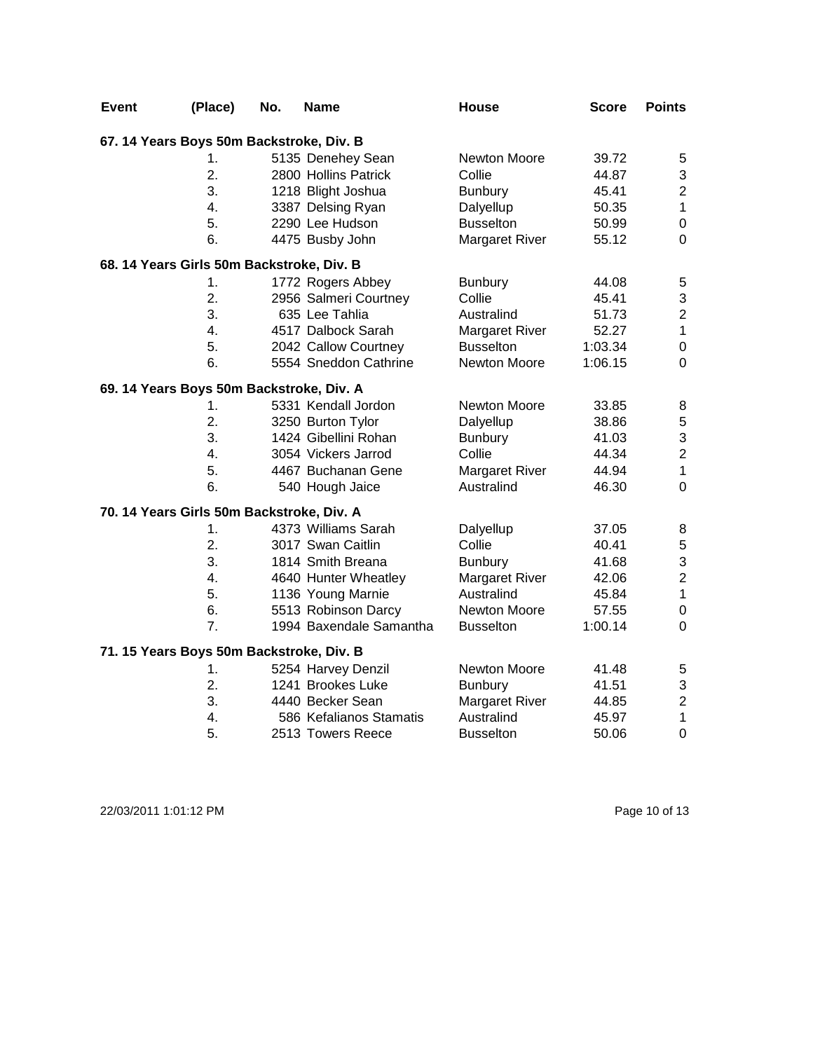| Event                                     | (Place)          | No. | <b>Name</b>             | <b>House</b>          | <b>Score</b> | <b>Points</b>    |
|-------------------------------------------|------------------|-----|-------------------------|-----------------------|--------------|------------------|
| 67. 14 Years Boys 50m Backstroke, Div. B  |                  |     |                         |                       |              |                  |
|                                           | 1.               |     | 5135 Denehey Sean       | Newton Moore          | 39.72        | 5                |
|                                           | 2.               |     | 2800 Hollins Patrick    | Collie                | 44.87        | 3                |
|                                           | 3.               |     | 1218 Blight Joshua      | <b>Bunbury</b>        | 45.41        | $\overline{c}$   |
|                                           | 4.               |     | 3387 Delsing Ryan       | Dalyellup             | 50.35        | $\mathbf{1}$     |
|                                           | 5.               |     | 2290 Lee Hudson         | <b>Busselton</b>      | 50.99        | $\mathbf 0$      |
|                                           | 6.               |     | 4475 Busby John         | <b>Margaret River</b> | 55.12        | $\mathbf 0$      |
| 68. 14 Years Girls 50m Backstroke, Div. B |                  |     |                         |                       |              |                  |
|                                           | 1.               |     | 1772 Rogers Abbey       | <b>Bunbury</b>        | 44.08        | $\,$ 5 $\,$      |
|                                           | 2.               |     | 2956 Salmeri Courtney   | Collie                | 45.41        | 3                |
|                                           | 3.               |     | 635 Lee Tahlia          | Australind            | 51.73        | $\overline{c}$   |
|                                           | $\overline{4}$ . |     | 4517 Dalbock Sarah      | <b>Margaret River</b> | 52.27        | $\mathbf{1}$     |
|                                           | 5.               |     | 2042 Callow Courtney    | <b>Busselton</b>      | 1:03.34      | $\mathbf 0$      |
|                                           | 6.               |     | 5554 Sneddon Cathrine   | Newton Moore          | 1:06.15      | 0                |
| 69. 14 Years Boys 50m Backstroke, Div. A  |                  |     |                         |                       |              |                  |
|                                           | 1.               |     | 5331 Kendall Jordon     | Newton Moore          | 33.85        | 8                |
|                                           | 2.               |     | 3250 Burton Tylor       | Dalyellup             | 38.86        | 5                |
|                                           | 3.               |     | 1424 Gibellini Rohan    | <b>Bunbury</b>        | 41.03        | 3                |
|                                           | $4_{-}$          |     | 3054 Vickers Jarrod     | Collie                | 44.34        | $\overline{c}$   |
|                                           | 5.               |     | 4467 Buchanan Gene      | <b>Margaret River</b> | 44.94        | $\mathbf{1}$     |
|                                           | 6.               |     | 540 Hough Jaice         | Australind            | 46.30        | $\mathbf 0$      |
| 70. 14 Years Girls 50m Backstroke, Div. A |                  |     |                         |                       |              |                  |
|                                           | 1.               |     | 4373 Williams Sarah     | Dalyellup             | 37.05        | 8                |
|                                           | 2.               |     | 3017 Swan Caitlin       | Collie                | 40.41        | 5                |
|                                           | 3.               |     | 1814 Smith Breana       | <b>Bunbury</b>        | 41.68        | 3                |
|                                           | 4.               |     | 4640 Hunter Wheatley    | <b>Margaret River</b> | 42.06        | $\overline{c}$   |
|                                           | 5.               |     | 1136 Young Marnie       | Australind            | 45.84        | $\mathbf 1$      |
|                                           | 6.               |     | 5513 Robinson Darcy     | Newton Moore          | 57.55        | 0                |
|                                           | 7.               |     | 1994 Baxendale Samantha | <b>Busselton</b>      | 1:00.14      | $\mathbf 0$      |
| 71. 15 Years Boys 50m Backstroke, Div. B  |                  |     |                         |                       |              |                  |
|                                           | 1.               |     | 5254 Harvey Denzil      | Newton Moore          | 41.48        | $\mathbf 5$      |
|                                           | 2.               |     | 1241 Brookes Luke       | <b>Bunbury</b>        | 41.51        | 3                |
|                                           | 3.               |     | 4440 Becker Sean        | <b>Margaret River</b> | 44.85        | $\overline{c}$   |
|                                           | 4.               |     | 586 Kefalianos Stamatis | Australind            | 45.97        | $\mathbf{1}$     |
|                                           | 5.               |     | 2513 Towers Reece       | <b>Busselton</b>      | 50.06        | $\boldsymbol{0}$ |

22/03/2011 1:01:12 PM Page 10 of 13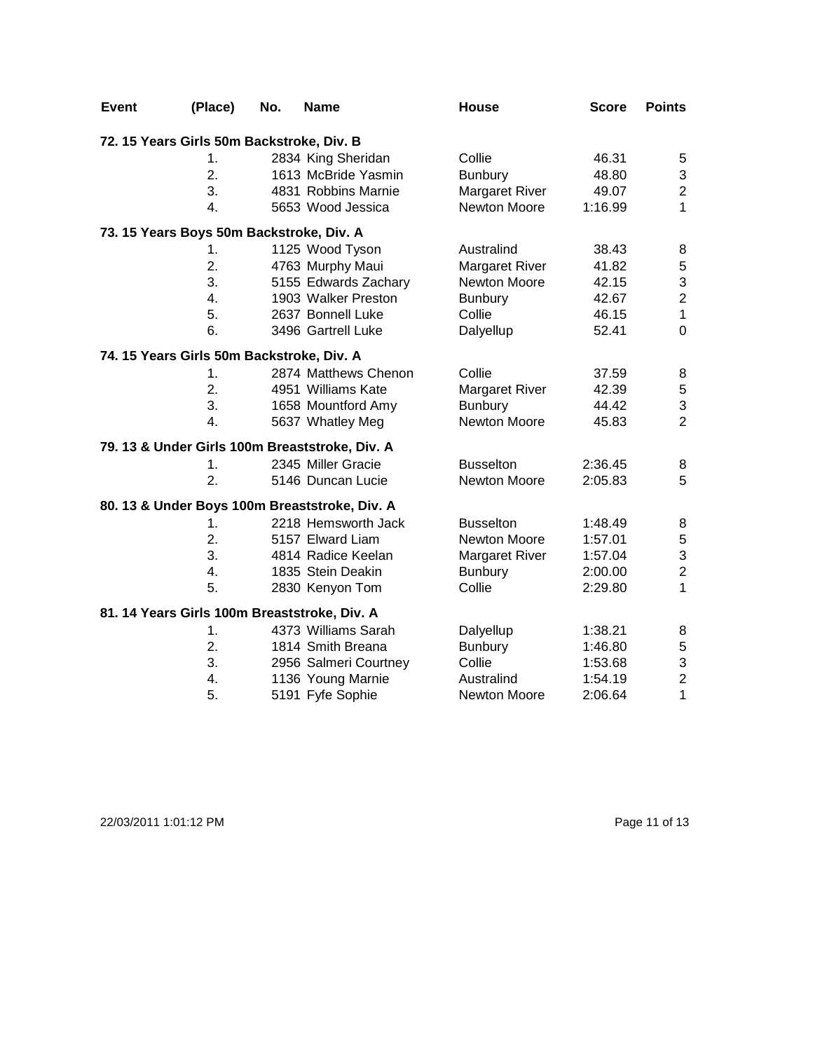| <b>Event</b> | (Place)                                      | No. | <b>Name</b>                                    | House                 | <b>Score</b> | <b>Points</b>    |
|--------------|----------------------------------------------|-----|------------------------------------------------|-----------------------|--------------|------------------|
|              | 72. 15 Years Girls 50m Backstroke, Div. B    |     |                                                |                       |              |                  |
|              | 1.                                           |     | 2834 King Sheridan                             | Collie                | 46.31        | 5                |
|              | 2.                                           |     | 1613 McBride Yasmin                            | <b>Bunbury</b>        | 48.80        | 3                |
|              | 3.                                           |     | 4831 Robbins Marnie                            | <b>Margaret River</b> | 49.07        | $\overline{c}$   |
|              | 4.                                           |     | 5653 Wood Jessica                              | Newton Moore          | 1:16.99      | $\mathbf{1}$     |
|              | 73. 15 Years Boys 50m Backstroke, Div. A     |     |                                                |                       |              |                  |
|              | 1.                                           |     | 1125 Wood Tyson                                | Australind            | 38.43        | 8                |
|              | 2.                                           |     | 4763 Murphy Maui                               | <b>Margaret River</b> | 41.82        | $\mathbf 5$      |
|              | 3.                                           |     | 5155 Edwards Zachary                           | Newton Moore          | 42.15        | 3                |
|              | 4.                                           |     | 1903 Walker Preston                            | <b>Bunbury</b>        | 42.67        | $\boldsymbol{2}$ |
|              | 5.                                           |     | 2637 Bonnell Luke                              | Collie                | 46.15        | $\mathbf{1}$     |
|              | 6.                                           |     | 3496 Gartrell Luke                             | Dalyellup             | 52.41        | $\mathbf 0$      |
|              | 74. 15 Years Girls 50m Backstroke, Div. A    |     |                                                |                       |              |                  |
|              | 1.                                           |     | 2874 Matthews Chenon                           | Collie                | 37.59        | 8                |
|              | 2.                                           |     | 4951 Williams Kate                             | <b>Margaret River</b> | 42.39        | $\overline{5}$   |
|              | 3.                                           |     | 1658 Mountford Amy                             | <b>Bunbury</b>        | 44.42        | 3                |
|              | $\overline{4}$ .                             |     | 5637 Whatley Meg                               | Newton Moore          | 45.83        | $\overline{2}$   |
|              |                                              |     | 79. 13 & Under Girls 100m Breaststroke, Div. A |                       |              |                  |
|              | 1.                                           |     | 2345 Miller Gracie                             | <b>Busselton</b>      | 2:36.45      | 8                |
|              | 2.                                           |     | 5146 Duncan Lucie                              | Newton Moore          | 2:05.83      | 5                |
|              |                                              |     | 80. 13 & Under Boys 100m Breaststroke, Div. A  |                       |              |                  |
|              | 1.                                           |     | 2218 Hemsworth Jack                            | <b>Busselton</b>      | 1:48.49      | 8                |
|              | 2.                                           |     | 5157 Elward Liam                               | Newton Moore          | 1:57.01      | $\mathbf 5$      |
|              | 3.                                           |     | 4814 Radice Keelan                             | Margaret River        | 1:57.04      | 3                |
|              | 4.                                           |     | 1835 Stein Deakin                              | <b>Bunbury</b>        | 2:00.00      | $\overline{c}$   |
|              | 5.                                           |     | 2830 Kenyon Tom                                | Collie                | 2:29.80      | 1                |
|              | 81. 14 Years Girls 100m Breaststroke, Div. A |     |                                                |                       |              |                  |
|              | 1.                                           |     | 4373 Williams Sarah                            | Dalyellup             | 1:38.21      | 8                |
|              | 2.                                           |     | 1814 Smith Breana                              | Bunbury               | 1:46.80      | $\sqrt{5}$       |
|              | 3.                                           |     | 2956 Salmeri Courtney                          | Collie                | 1:53.68      | 3                |
|              | 4.                                           |     | 1136 Young Marnie                              | Australind            | 1:54.19      | $\overline{c}$   |
|              | 5.                                           |     | 5191 Fyfe Sophie                               | <b>Newton Moore</b>   | 2:06.64      | $\mathbf{1}$     |

22/03/2011 1:01:12 PM Page 11 of 13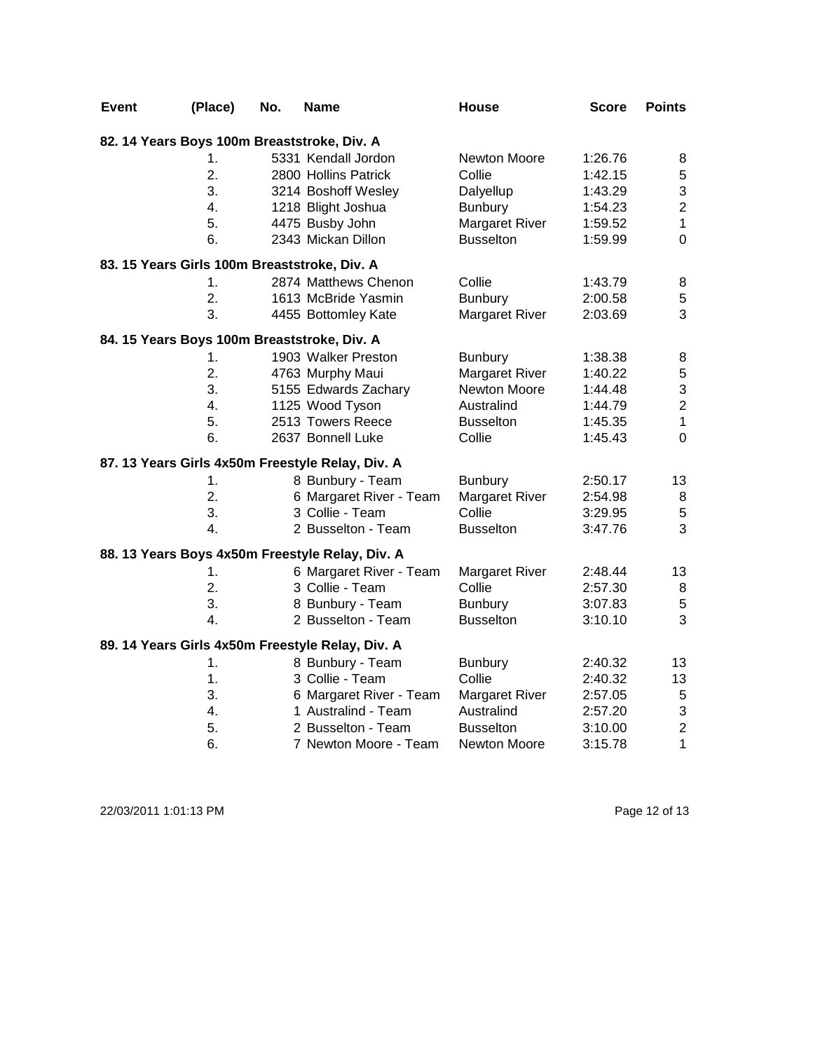| <b>Event</b> | (Place) | No. | <b>Name</b>                                      | <b>House</b>          | Score   | <b>Points</b>  |
|--------------|---------|-----|--------------------------------------------------|-----------------------|---------|----------------|
|              |         |     | 82. 14 Years Boys 100m Breaststroke, Div. A      |                       |         |                |
|              | 1.      |     | 5331 Kendall Jordon                              | Newton Moore          | 1:26.76 | 8              |
|              | 2.      |     | 2800 Hollins Patrick                             | Collie                | 1:42.15 | 5              |
|              | 3.      |     | 3214 Boshoff Wesley                              | Dalyellup             | 1:43.29 | 3              |
|              | 4.      |     | 1218 Blight Joshua                               | <b>Bunbury</b>        | 1:54.23 | $\overline{2}$ |
|              | 5.      |     | 4475 Busby John                                  | <b>Margaret River</b> | 1:59.52 | $\mathbf 1$    |
|              | 6.      |     | 2343 Mickan Dillon                               | <b>Busselton</b>      | 1:59.99 | $\mathbf 0$    |
|              |         |     | 83. 15 Years Girls 100m Breaststroke, Div. A     |                       |         |                |
|              | 1.      |     | 2874 Matthews Chenon                             | Collie                | 1:43.79 | 8              |
|              | 2.      |     | 1613 McBride Yasmin                              | Bunbury               | 2:00.58 | $\mathbf 5$    |
|              | 3.      |     | 4455 Bottomley Kate                              | Margaret River        | 2:03.69 | 3              |
|              |         |     | 84. 15 Years Boys 100m Breaststroke, Div. A      |                       |         |                |
|              | 1.      |     | 1903 Walker Preston                              | <b>Bunbury</b>        | 1:38.38 | 8              |
|              | 2.      |     | 4763 Murphy Maui                                 | <b>Margaret River</b> | 1:40.22 | $\mathbf 5$    |
|              | 3.      |     | 5155 Edwards Zachary                             | Newton Moore          | 1:44.48 | $\frac{3}{2}$  |
|              | 4.      |     | 1125 Wood Tyson                                  | Australind            | 1:44.79 |                |
|              | 5.      |     | 2513 Towers Reece                                | <b>Busselton</b>      | 1:45.35 | $\mathbf{1}$   |
|              | 6.      |     | 2637 Bonnell Luke                                | Collie                | 1:45.43 | $\mathbf 0$    |
|              |         |     | 87. 13 Years Girls 4x50m Freestyle Relay, Div. A |                       |         |                |
|              | 1.      |     | 8 Bunbury - Team                                 | <b>Bunbury</b>        | 2:50.17 | 13             |
|              | 2.      |     | 6 Margaret River - Team                          | Margaret River        | 2:54.98 | 8              |
|              | 3.      |     | 3 Collie - Team                                  | Collie                | 3:29.95 | $\mathbf 5$    |
|              | 4.      |     | 2 Busselton - Team                               | <b>Busselton</b>      | 3:47.76 | 3              |
|              |         |     | 88. 13 Years Boys 4x50m Freestyle Relay, Div. A  |                       |         |                |
|              | 1.      |     | 6 Margaret River - Team                          | <b>Margaret River</b> | 2:48.44 | 13             |
|              | 2.      |     | 3 Collie - Team                                  | Collie                | 2:57.30 | $\,8\,$        |
|              | 3.      |     | 8 Bunbury - Team                                 | Bunbury               | 3:07.83 | $\mathbf 5$    |
|              | 4.      |     | 2 Busselton - Team                               | <b>Busselton</b>      | 3:10.10 | 3              |
|              |         |     | 89. 14 Years Girls 4x50m Freestyle Relay, Div. A |                       |         |                |
|              | 1.      |     | 8 Bunbury - Team                                 | <b>Bunbury</b>        | 2:40.32 | 13             |
|              | 1.      |     | 3 Collie - Team                                  | Collie                | 2:40.32 | 13             |
|              | 3.      |     | 6 Margaret River - Team                          | <b>Margaret River</b> | 2:57.05 | $\sqrt{5}$     |
|              | 4.      |     | 1 Australind - Team                              | Australind            | 2:57.20 | $\mathfrak{S}$ |
|              | 5.      |     | 2 Busselton - Team                               | <b>Busselton</b>      | 3:10.00 | $\overline{2}$ |
|              | 6.      |     | 7 Newton Moore - Team                            | Newton Moore          | 3:15.78 | $\mathbf{1}$   |

22/03/2011 1:01:13 PM Page 12 of 13